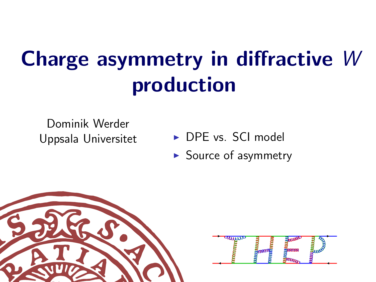# Charge asymmetry in diffractive W production

Dominik Werder

- Uppsala Universitet **I DPE** vs. SCI model
	- $\blacktriangleright$  Source of asymmetry



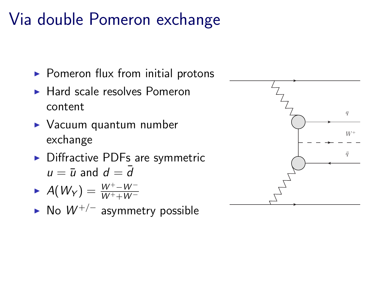## Via double Pomeron exchange

- $\triangleright$  Pomeron flux from initial protons
- $\blacktriangleright$  Hard scale resolves Pomeron content
- $\triangleright$  Vacuum quantum number exchange
- $\triangleright$  Diffractive PDFs are symmetric  $u = \overline{u}$  and  $d = \overline{d}$

$$
\blacktriangleright \; A(W_Y) = \frac{W^+ - W^-}{W^+ + W^-}
$$

► No  $W^{+/-}$  asymmetry possible

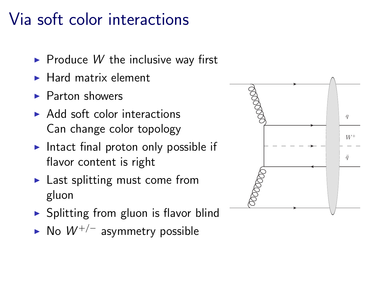## Via soft color interactions

- $\triangleright$  Produce W the inclusive way first
- $\blacktriangleright$  Hard matrix element
- $\blacktriangleright$  Parton showers
- $\triangleright$  Add soft color interactions Can change color topology
- Intact final proton only possible if flavor content is right
- $\blacktriangleright$  Last splitting must come from gluon
- $\triangleright$  Splitting from gluon is flavor blind
- ► No  $W^{+/-}$  asymmetry possible

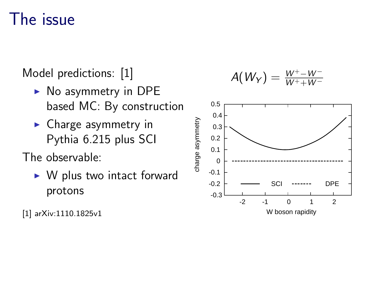#### The issue

Model predictions: [1]

- $\triangleright$  No asymmetry in DPE based MC: By construction
- $\blacktriangleright$  Charge asymmetry in Pythia 6.215 plus SCI

The observable:

 $\triangleright$  W plus two intact forward protons

[1] arXiv:1110.1825v1

$$
A(W_Y)=\tfrac{W^+-W^-}{W^++W^-}
$$

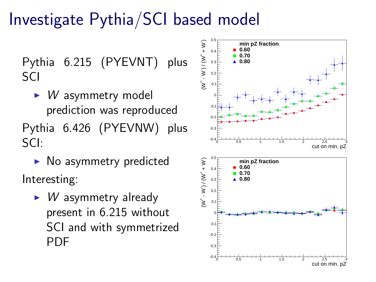## Investigate Pythia/SCI based model

Pythia 6.215 (PYEVNT) plus SCI

- $\blacktriangleright$  *W* asymmetry model prediction was reproduced Pythia 6.426 (PYEVNW) plus SCI:
- $\triangleright$  No asymmetry predicted Interesting:
	- $\triangleright$  *W* asymmetry already present in 6.215 without SCI and with symmetrized PDF

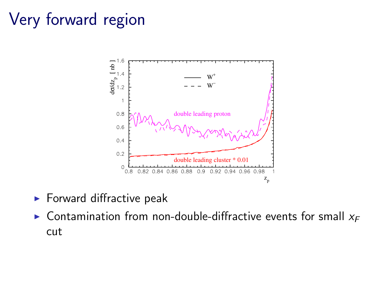## Very forward region



- $\blacktriangleright$  Forward diffractive peak
- $\triangleright$  Contamination from non-double-diffractive events for small  $x_F$ cut